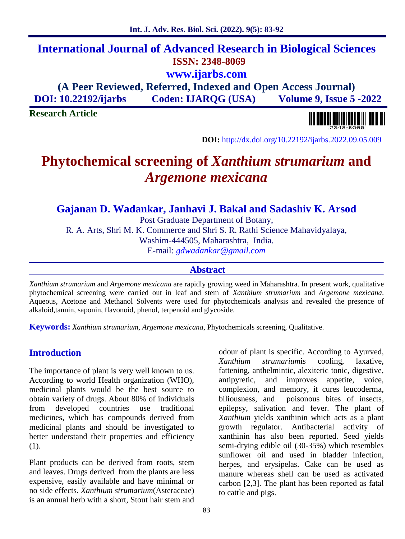## **International Journal of Advanced Research in Biological Sciences ISSN: 2348-8069 www.ijarbs.com**

**(A Peer Reviewed, Referred, Indexed and Open Access Journal) DOI: 10.22192/ijarbs Coden: IJARQG (USA) Volume 9, Issue 5 -2022**

**Research Article**

**DOI:** http://dx.doi.org/10.22192/ijarbs.2022.09.05.009

# **Phytochemical screening of** *Xanthium strumarium* **and** *Argemone mexicana*

## **Gajanan D. Wadankar, Janhavi J. Bakal and Sadashiv K. Arsod**

Post Graduate Department of Botany,

R. A. Arts, Shri M. K. Commerce and Shri S. R. Rathi Science Mahavidyalaya,

Washim-444505, Maharashtra, India.

E-mail: *gdwadankar@gmail.com*

#### **Abstract**

*Xanthium strumarium* and*Argemone mexicana* are rapidly growing weed in Maharashtra. In present work, qualitative phytochemical screening were carried out in leaf and stem of *Xanthium strumarium* and *Argemone mexicana*. Aqueous, Acetone and Methanol Solvents were used for phytochemicals analysis and revealed the presence of alkaloid,tannin, saponin, flavonoid, phenol, terpenoid and glycoside.

**Keywords:** *Xanthium strumarium*, *Argemone mexicana*, Phytochemicals screening, Qualitative.

## **Introduction**

The importance of plant is very well known to us. According to world Health organization (WHO), medicinal plants would be the best source to complexion, and obtain variety of drugs. About 80% of individuals biliousness, and obtain variety of drugs. About 80% of individuals from developed countries use traditional medicines, which has compounds derived from medicinal plants and should be investigated to better understand their properties and efficiency (1).

Plant products can be derived from roots, stem and leaves. Drugs derived from the plants are less expensive, easily available and have minimal or no side effects. *Xanthium strumarium*(Asteraceae) is an annual herb with a short, Stout hair stem and

odour of plant is specific. According to Ayurved, *Xanthium strumarium*is cooling, laxative, fattening, anthelmintic, alexiteric tonic, digestive, antipyretic, and improves appetite, voice, complexion, and memory, it cures leucoderma, poisonous bites of insects, epilepsy, salivation and fever. The plant of *Xanthium* yields xanthinin which acts as a plant growth regulator. Antibacterial activity of xanthinin has also been reported. Seed yields semi-drying edible oil (30-35%) which resembles sunflower oil and used in bladder infection, herpes, and erysipelas. Cake can be used as manure whereas shell can be used as activated carbon [2,3]. The plant has been reported as fatal to cattle and pigs.

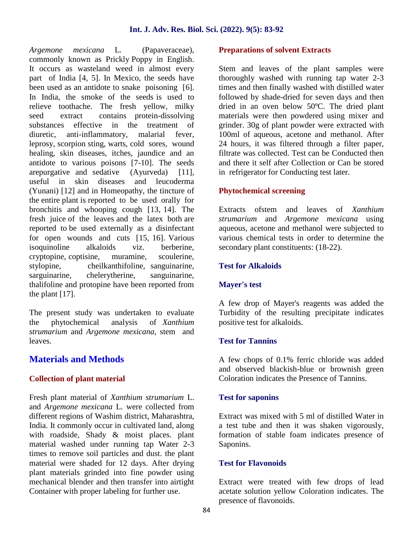*Argemone mexicana* L. (Papaveraceae), commonly known as Prickly Poppy in English. It occurs as wasteland weed in almost every part of India [4, 5]. In Mexico, the seeds have been used as an antidote to snake poisoning [6]. In India, the smoke of the seeds is used to relieve toothache. The fresh yellow, milky seed extract contains protein-dissolving substances effective in the treatment of diuretic, anti-inflammatory, malarial fever, leprosy, scorpion sting, warts, cold sores, wound healing, skin diseases, itches, jaundice and an antidote to various poisons [7-10]. The seeds arepurgative and sedative (Ayurveda) [11], useful in skin diseases and leucoderma (Yunani) [12] and in Homeopathy, the tincture of the entire plant is reported to be used orally for bronchitis and whooping cough [13, 14]. The fresh juice of the leaves and the latex both are reported to be used externally as a disinfectant for open wounds and cuts [15, 16]. Various isoquinoline alkaloids viz. berberine, cryptopine, coptisine, muramine, scoulerine, stylopine, cheilkanthifoline, sanguinarine, sarguinarine, chelerytherine, sanguinarine, thalifoline and protopine have been reported from the plant [17].

The present study was undertaken to evaluate the phytochemical analysis of *Xanthium strumarium* and *Argemone mexicana*, stem and leaves.

## **Materials and Methods**

#### **Collection of plant material**

Fresh plant material of *Xanthium strumarium* L. and *Argemone mexicana* L. were collected from different regions of Washim district, Maharashtra, India. It commonly occur in cultivated land, along with roadside, Shady & moist places. plant material washed under running tap Water 2-3 times to remove soil particles and dust. the plant material were shaded for 12 days. After drying plant materials grinded into fine powder using mechanical blender and then transfer into airtight Container with proper labeling for further use.

#### **Preparations of solvent Extracts**

Stem and leaves of the plant samples were thoroughly washed with running tap water 2-3 times and then finally washed with distilled water followed by shade-dried for seven days and then dried in an oven below 50ºC. The dried plant materials were then powdered using mixer and grinder. 30g of plant powder were extracted with 100ml of aqueous, acetone and methanol. After 24 hours, it was filtered through a filter paper, filtrate was collected. Test can be Conducted then and there it self after Collection or Can be stored in refrigerator for Conducting test later.

#### **Phytochemical screening**

Extracts ofstem and leaves of *Xanthium strumarium* and *Argemone mexicana* using aqueous, acetone and methanol were subjected to various chemical tests in order to determine the secondary plant constituents: (18-22).

#### **Test for Alkaloids**

#### **Mayer's test**

A few drop of Mayer's reagents was added the Turbidity of the resulting precipitate indicates positive test for alkaloids.

#### **Test for Tannins**

A few chops of 0.1% ferric chloride was added and observed blackish-blue or brownish green Coloration indicates the Presence of Tannins.

#### **Test for saponins**

Extract was mixed with 5 ml of distilled Water in a test tube and then it was shaken vigorously, formation of stable foam indicates presence of Saponins.

#### **Test for Flavonoids**

Extract were treated with few drops of lead acetate solution yellow Coloration indicates. The presence of flavonoids.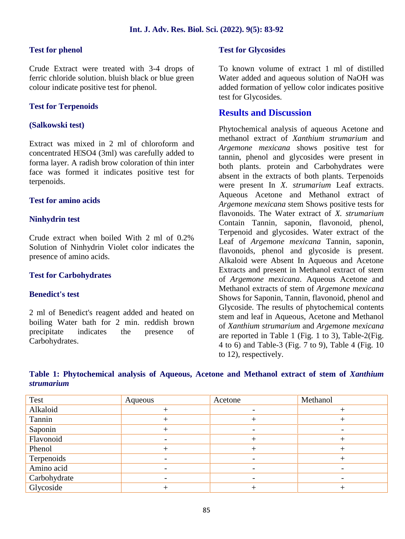#### **Test for phenol**

Crude Extract were treated with 3-4 drops of ferric chloride solution. bluish black or blue green colour indicate positive test for phenol.

#### **Test for Terpenoids**

#### **(Salkowski test)**

Extract was mixed in 2 ml of chloroform and concentrated H₂SO4 (3ml) was carefully added to forma layer. A radish brow coloration of thin inter face was formed it indicates positive test for terpenoids.

#### **Test for amino acids**

#### **Ninhydrin test**

Crude extract when boiled With 2 ml of 0.2% Solution of Ninhydrin Violet color indicates the presence of amino acids.

#### **Test for Carbohydrates**

#### **Benedict's test**

2 ml of Benedict's reagent added and heated on boiling Water bath for 2 min. reddish brown precipitate indicates the presence of Carbohydrates.

#### **Test for Glycosides**

To known volume of extract 1 ml of distilled Water added and aqueous solution of NaOH was added formation of yellow color indicates positive test for Glycosides.

#### **Results and Discussion**

Phytochemical analysis of aqueous Acetone and methanol extract of *Xanthium strumarium* and *Argemone mexicana* shows positive test for tannin, phenol and glycosides were present in both plants. protein and Carbohydrates were absent in the extracts of both plants. Terpenoids were present In *X. strumarium* Leaf extracts. Aqueous Acetone and Methanol extract of *Argemone mexicana* stem Shows positive tests for flavonoids. The Water extract of *X. strumarium* Contain Tannin, saponin, flavonoid, phenol, Terpenoid and glycosides. Water extract of the Leaf of *Argemone mexicana* Tannin, saponin, flavonoids, phenol and glycoside is present. Alkaloid were Absent In Aqueous and Acetone Extracts and present in Methanol extract of stem of *Argemone mexicana*. Aqueous Acetone and Methanol extracts of stem of *Argemone mexicana* Shows for Saponin, Tannin, flavonoid, phenol and Glycoside. The results of phytochemical contents stem and leaf in Aqueous, Acetone and Methanol of *Xanthium strumarium* and *Argemone mexicana* are reported in Table 1 (Fig. 1 to 3), Table-2(Fig. 4 to 6) and Table-3 (Fig. 7 to 9), Table 4 (Fig. 10 to 12), respectively.

|                   |  |  |  |  | Table 1: Phytochemical analysis of Aqueous, Acetone and Methanol extract of stem of Xanthium |  |  |  |
|-------------------|--|--|--|--|----------------------------------------------------------------------------------------------|--|--|--|
| <i>strumarium</i> |  |  |  |  |                                                                                              |  |  |  |

| Test         | Aqueous | Acetone | Methanol |
|--------------|---------|---------|----------|
| Alkaloid     |         |         |          |
| Tannin       |         |         | +        |
| Saponin      |         |         |          |
| Flavonoid    |         |         |          |
| Phenol       |         |         |          |
| Terpenoids   |         |         |          |
| Amino acid   |         |         |          |
| Carbohydrate |         |         |          |
| Glycoside    |         |         |          |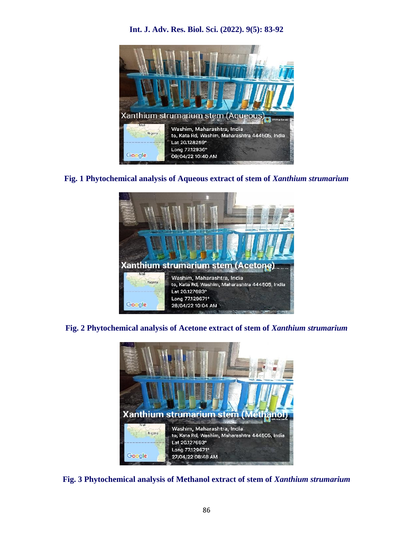

**Int. J. Adv. Res. Biol. Sci. (2022). 9(5): 83-92**

#### **Fig. 1 Phytochemical analysis of Aqueous extract of stem of** *Xanthium strumarium*



**Fig. 2 Phytochemical analysis of Acetone extract of stem of** *Xanthium strumarium*



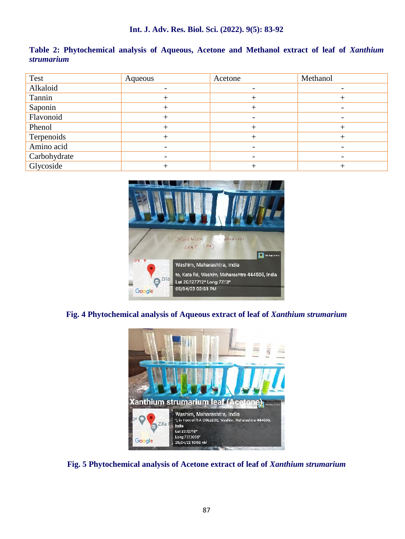| Table 2: Phytochemical analysis of Aqueous, Acetone and Methanol extract of leaf of Xanthium |  |  |  |
|----------------------------------------------------------------------------------------------|--|--|--|
| strumarium                                                                                   |  |  |  |

| Test         | Aqueous | Acetone | Methanol                     |
|--------------|---------|---------|------------------------------|
| Alkaloid     |         |         | $\overline{\phantom{0}}$     |
| Tannin       |         |         |                              |
| Saponin      |         |         |                              |
| Flavonoid    | $^{+}$  |         | $\overline{\phantom{a}}$     |
| Phenol       |         |         |                              |
| Terpenoids   |         |         |                              |
| Amino acid   |         |         | $\qquad \qquad \blacksquare$ |
| Carbohydrate |         |         |                              |
| Glycoside    |         |         |                              |



#### **Fig. 4 Phytochemical analysis of Aqueous extract of leaf of** *Xanthium strumarium*



**Fig. 5 Phytochemical analysis of Acetone extract of leaf of** *Xanthium strumarium*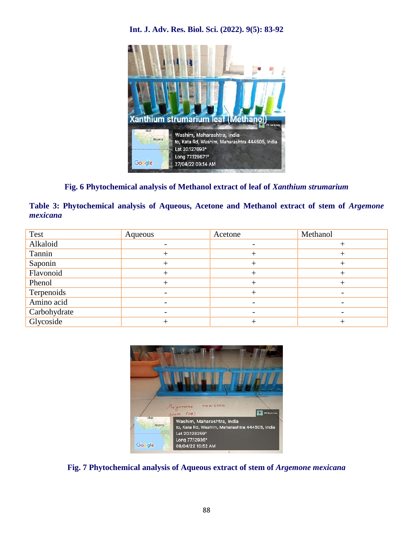## Xanthium strumarium leaf (Methanol) **REVIew Ca** Washim, Maharashtra, India Nigeria to, Kata Rd, Washim, Maharashtra 444505, India Lat 20.127693° Long 77.129671° Google 27/04/22 09:14 AM

### **Int. J. Adv. Res. Biol. Sci. (2022). 9(5): 83-92**

**Fig. 6 Phytochemical analysis of Methanol extract of leaf of** *Xanthium strumarium*

|          | Table 3: Phytochemical analysis of Aqueous, Acetone and Methanol extract of stem of Argemone |  |  |  |  |
|----------|----------------------------------------------------------------------------------------------|--|--|--|--|
| mexicana |                                                                                              |  |  |  |  |

| Test         | Aqueous | Acetone | Methanol                 |
|--------------|---------|---------|--------------------------|
| Alkaloid     |         |         |                          |
| Tannin       |         |         |                          |
| Saponin      |         |         |                          |
| Flavonoid    |         |         |                          |
| Phenol       |         |         |                          |
| Terpenoids   |         |         | $\overline{\phantom{0}}$ |
| Amino acid   |         |         |                          |
| Carbohydrate |         |         |                          |
| Glycoside    |         |         |                          |



**Fig. 7 Phytochemical analysis of Aqueous extract of stem of** *Argemone mexicana*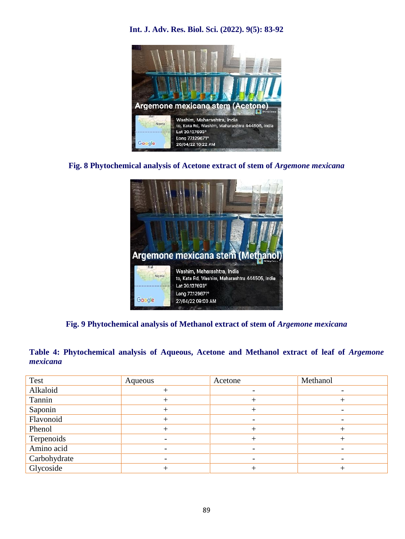

#### **Int. J. Adv. Res. Biol. Sci. (2022). 9(5): 83-92**

**Fig. 8 Phytochemical analysis of Acetone extract of stem of** *Argemone mexicana*



## **Fig. 9 Phytochemical analysis of Methanol extract of stem of** *Argemone mexicana*

### **Table 4: Phytochemical analysis of Aqueous, Acetone and Methanol extract of leaf of** *Argemone mexicana*

| Test         | Aqueous | Acetone | Methanol                 |
|--------------|---------|---------|--------------------------|
| Alkaloid     |         |         |                          |
| Tannin       |         |         |                          |
| Saponin      |         |         |                          |
| Flavonoid    |         |         | $\overline{\phantom{a}}$ |
| Phenol       |         |         |                          |
| Terpenoids   |         |         |                          |
| Amino acid   |         |         | $\overline{\phantom{a}}$ |
| Carbohydrate |         |         |                          |
| Glycoside    |         |         |                          |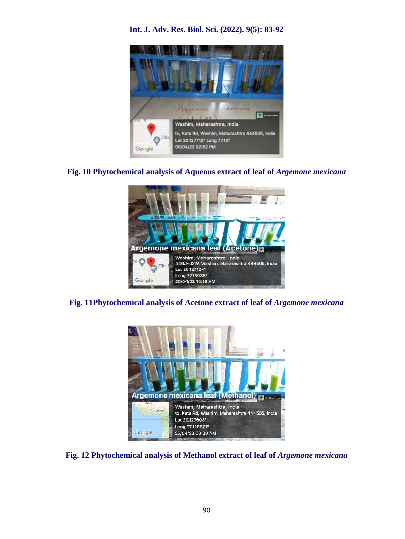



**Fig. 10 Phytochemical analysis of Aqueous extract of leaf of** *Argemone mexicana*



**Fig. 11Phytochemical analysis of Acetone extract of leaf of** *Argemone mexicana*



**Fig. 12 Phytochemical analysis of Methanol extract of leaf of** *Argemone mexicana*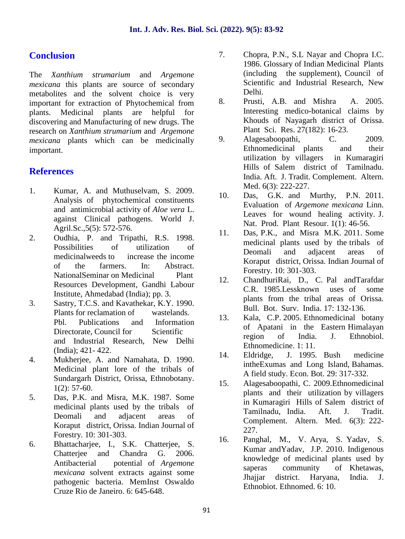## **Conclusion**

The *Xanthium strumarium* and *Argemone mexicana* this plants are source of secondary metabolites and the solvent choice is very<br>important for extraction of Phytochemical from 8. important for extraction of Phytochemical from plants. Medicinal plants are helpful for discovering and Manufacturing of new drugs. The research on *Xanthium strumarium* and *Argemone mexicana* plants which can be medicinally important.

## **References**

- 1. Kumar, A. and Muthuselvam, S. 2009. Analysis of phytochemical constituents and antimicrobial activity of *Aloe vera* L. against Clinical pathogens. World J. Agril.Sc.,5(5): 572-576.
- 2. Oudhia, P. and Tripathi, R.S. 1998. Possibilities of utilization of medicinalweeds to increase the income of the farmers. In: Abstract. NationalSeminar on Medicinal Plant Resources Development, Gandhi Labour Institute, Ahmedabad (India); pp. 3.
- 3. Sastry, T.C.S. and Kavathekar, K.Y. 1990. Plants for reclamation of wastelands. Phl. Publications and Information 13. Directorate, Council for Scientific and Industrial Research, New Delhi (India); 421- 422.
- 4. Mukherjee, A. and Namahata, D. 1990. Medicinal plant lore of the tribals of Sundargarh District, Orissa, Ethnobotany.  $1(2): 57-60.$
- 5. Das, P.K. and Misra, M.K. 1987. Some medicinal plants used by the tribals of Deomali and adjacent areas of Koraput district, Orissa. Indian Journal of Forestry. 10: 301-303.
- 6. Bhattacharjee, I., S.K. Chatterjee, S. Chatterjee and Chandra G. 2006. Antibacterial potential of *Argemone mexicana* solvent extracts against some pathogenic bacteria. MemInst Oswaldo Cruze Rio de Janeiro. 6: 645-648.
- 7. Chopra, P.N., S.L Nayar and Chopra I.C. 1986. Glossary of Indian Medicinal Plants (including the supplement), Council of Scientific and Industrial Research, New Delhi.
- 8. Prusti, A.B. and Mishra A. 2005. Interesting medico-botanical claims by Khouds of Nayagarh district of Orissa. Plant Sci. Res. 27(182): 16-23.
- Alagesaboopathi, C. 2009. Ethnomedicinal plants and their utilization by villagers in Kumaragiri Hills of Salem district of Tamilnadu. India. Aft. J. Tradit. Complement. Altern. Med. 6(3): 222-227.
- 10. Das, G.K. and Murthy, P.N. 2011. Evaluation of *Argemone mexicana* Linn. Leaves for wound healing activity. J. Nat. Prod. Plant Resour. 1(1): 46-56.
- 11. Das, P.K., and Misra M.K. 2011. Some medicinal plants used by the tribals of Deomali and adjacent areas of Koraput district, Orissa. Indian Journal of Forestry. 10: 301-303.
- 12. ChandhuriRai, D., C. Pal andTarafdar C.R. 1985.Lessknown uses of some plants from the tribal areas of Orissa. Bull. Bot. Surv. India. 17: 132-136.
- Kala, C.P. 2005. Ethnomedicinal botany of Apatani in the Eastern Himalayan region of India. J. Ethnobiol. Ethnomedicine. 1: 11.
- 14. Eldridge, J. 1995. Bush medicine intheExumas and Long Island, Bahamas. A field study. Econ. Bot. 29: 317-332.
- 15. Alagesaboopathi, C. 2009.Ethnomedicinal plants and their utilization by villagers in Kumaragiri Hills of Salem district of Tamilnadu, India. Aft. J. Tradit. Complement. Altern. Med. 6(3): 222- 227.
- 16. Panghal, M., V. Arya, S. Yadav, S. Kumar andYadav, J.P. 2010. Indigenous knowledge of medicinal plants used by saperas community of Khetawas, Jhajjar district. Haryana, India. J. Ethnobiot. Ethnomed. 6: 10.